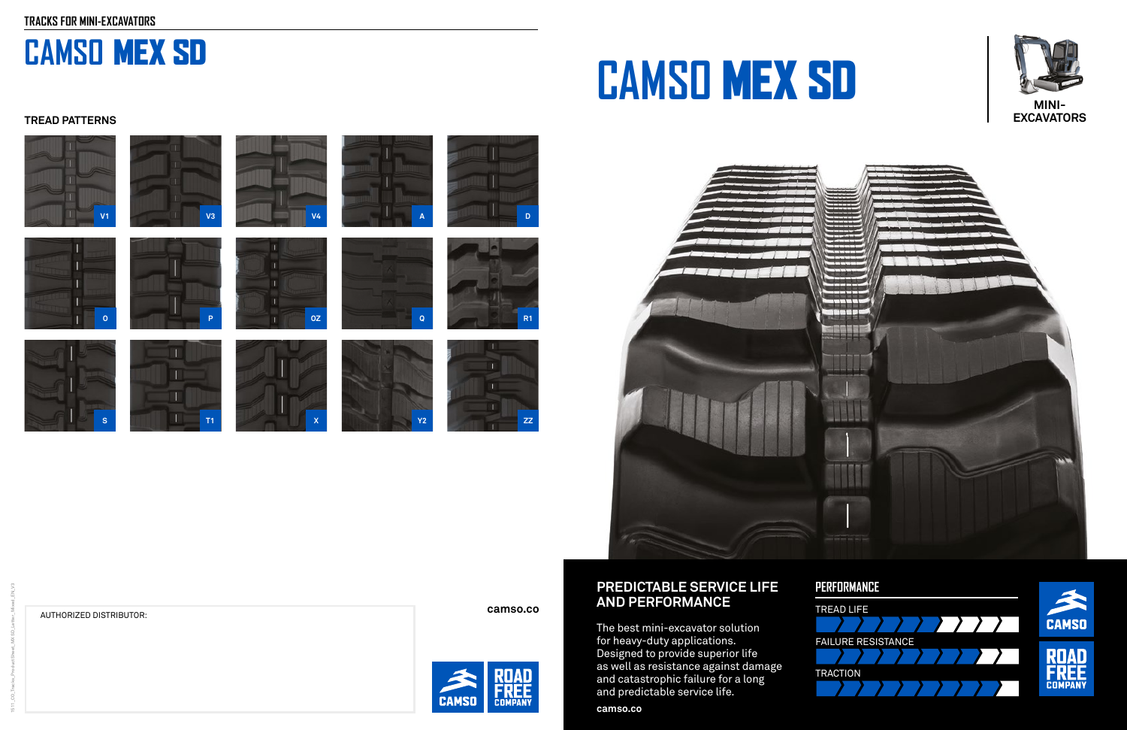# **PREDICTABLE SERVICE LIFE AND PERFORMANCE**

The best mini-excavator solution for heavy-duty applications. Designed to provide superior life as well as resistance against damage and catastrophic failure for a long and predictable service life.

**camso.co**





# **CAMSO** MEX SD



# -800





# AUTHORIZED DISTRIBUTOR: **camso.co**



# **CAMSO** MEX SD

# **PERFORMANCE**





# **TREAD PATTERNS**